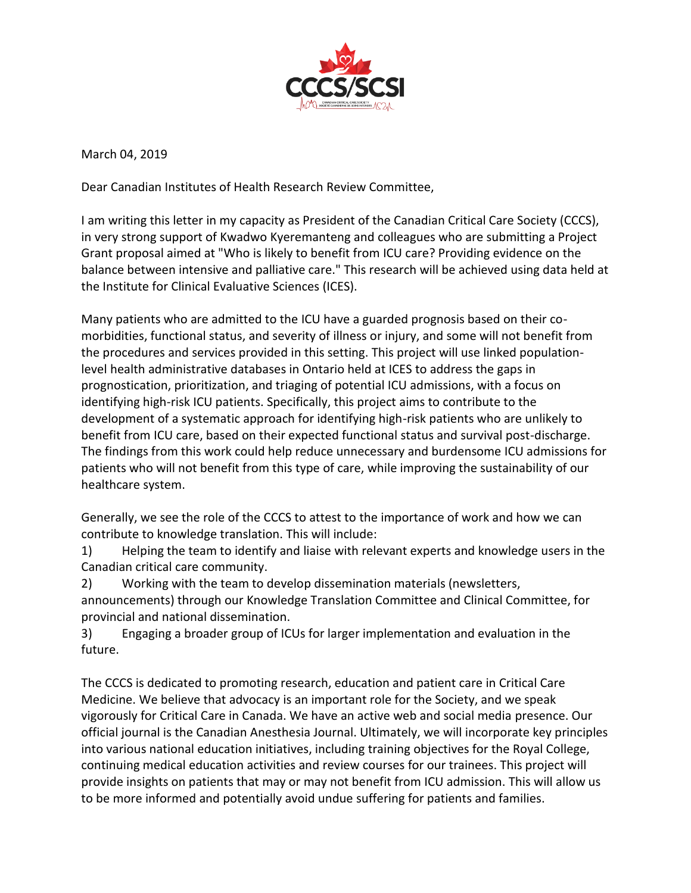

March 04, 2019

Dear Canadian Institutes of Health Research Review Committee,

I am writing this letter in my capacity as President of the Canadian Critical Care Society (CCCS), in very strong support of Kwadwo Kyeremanteng and colleagues who are submitting a Project Grant proposal aimed at "Who is likely to benefit from ICU care? Providing evidence on the balance between intensive and palliative care." This research will be achieved using data held at the Institute for Clinical Evaluative Sciences (ICES).

Many patients who are admitted to the ICU have a guarded prognosis based on their comorbidities, functional status, and severity of illness or injury, and some will not benefit from the procedures and services provided in this setting. This project will use linked populationlevel health administrative databases in Ontario held at ICES to address the gaps in prognostication, prioritization, and triaging of potential ICU admissions, with a focus on identifying high-risk ICU patients. Specifically, this project aims to contribute to the development of a systematic approach for identifying high-risk patients who are unlikely to benefit from ICU care, based on their expected functional status and survival post-discharge. The findings from this work could help reduce unnecessary and burdensome ICU admissions for patients who will not benefit from this type of care, while improving the sustainability of our healthcare system.

Generally, we see the role of the CCCS to attest to the importance of work and how we can contribute to knowledge translation. This will include:

1) Helping the team to identify and liaise with relevant experts and knowledge users in the Canadian critical care community.

2) Working with the team to develop dissemination materials (newsletters, announcements) through our Knowledge Translation Committee and Clinical Committee, for provincial and national dissemination.

3) Engaging a broader group of ICUs for larger implementation and evaluation in the future.

The CCCS is dedicated to promoting research, education and patient care in Critical Care Medicine. We believe that advocacy is an important role for the Society, and we speak vigorously for Critical Care in Canada. We have an active web and social media presence. Our official journal is the Canadian Anesthesia Journal. Ultimately, we will incorporate key principles into various national education initiatives, including training objectives for the Royal College, continuing medical education activities and review courses for our trainees. This project will provide insights on patients that may or may not benefit from ICU admission. This will allow us to be more informed and potentially avoid undue suffering for patients and families.